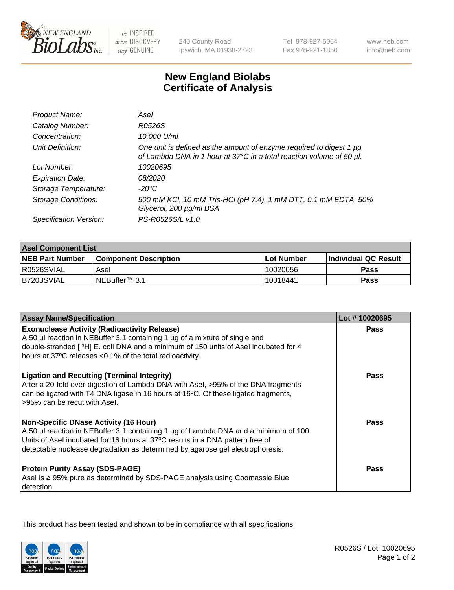

 $be$  INSPIRED drive DISCOVERY stay GENUINE

240 County Road Ipswich, MA 01938-2723 Tel 978-927-5054 Fax 978-921-1350 www.neb.com info@neb.com

## **New England Biolabs Certificate of Analysis**

| Product Name:              | Asel                                                                                                                                             |
|----------------------------|--------------------------------------------------------------------------------------------------------------------------------------------------|
| Catalog Number:            | R0526S                                                                                                                                           |
| Concentration:             | 10,000 U/ml                                                                                                                                      |
| Unit Definition:           | One unit is defined as the amount of enzyme required to digest 1 $\mu$ g<br>of Lambda DNA in 1 hour at 37°C in a total reaction volume of 50 µl. |
| Lot Number:                | 10020695                                                                                                                                         |
| <b>Expiration Date:</b>    | <i>08/2020</i>                                                                                                                                   |
| Storage Temperature:       | $-20^{\circ}$ C                                                                                                                                  |
| <b>Storage Conditions:</b> | 500 mM KCI, 10 mM Tris-HCI (pH 7.4), 1 mM DTT, 0.1 mM EDTA, 50%<br>Glycerol, 200 µg/ml BSA                                                       |
| Specification Version:     | PS-R0526S/L v1.0                                                                                                                                 |

| <b>Asel Component List</b> |                              |              |                        |  |  |
|----------------------------|------------------------------|--------------|------------------------|--|--|
| <b>NEB Part Number</b>     | <b>Component Description</b> | l Lot Number | l Individual QC Result |  |  |
| R0526SVIAL                 | Asel                         | 10020056     | Pass                   |  |  |
| B7203SVIAL                 | INEBuffer <sup>™</sup> 3.1   | 10018441     | Pass                   |  |  |

| <b>Assay Name/Specification</b>                                                                                                                                                                                                                                                                       | Lot #10020695 |
|-------------------------------------------------------------------------------------------------------------------------------------------------------------------------------------------------------------------------------------------------------------------------------------------------------|---------------|
| <b>Exonuclease Activity (Radioactivity Release)</b><br>A 50 µl reaction in NEBuffer 3.1 containing 1 µg of a mixture of single and                                                                                                                                                                    | <b>Pass</b>   |
| double-stranded [3H] E. coli DNA and a minimum of 150 units of Asel incubated for 4<br>hours at 37°C releases <0.1% of the total radioactivity.                                                                                                                                                       |               |
| <b>Ligation and Recutting (Terminal Integrity)</b><br>After a 20-fold over-digestion of Lambda DNA with Asel, >95% of the DNA fragments<br>can be ligated with T4 DNA ligase in 16 hours at 16°C. Of these ligated fragments,<br>>95% can be recut with Asel.                                         | Pass          |
| <b>Non-Specific DNase Activity (16 Hour)</b><br>A 50 µl reaction in NEBuffer 3.1 containing 1 µg of Lambda DNA and a minimum of 100<br>Units of Asel incubated for 16 hours at 37°C results in a DNA pattern free of<br>detectable nuclease degradation as determined by agarose gel electrophoresis. | Pass          |
| <b>Protein Purity Assay (SDS-PAGE)</b><br>Asel is ≥ 95% pure as determined by SDS-PAGE analysis using Coomassie Blue<br>detection.                                                                                                                                                                    | <b>Pass</b>   |

This product has been tested and shown to be in compliance with all specifications.